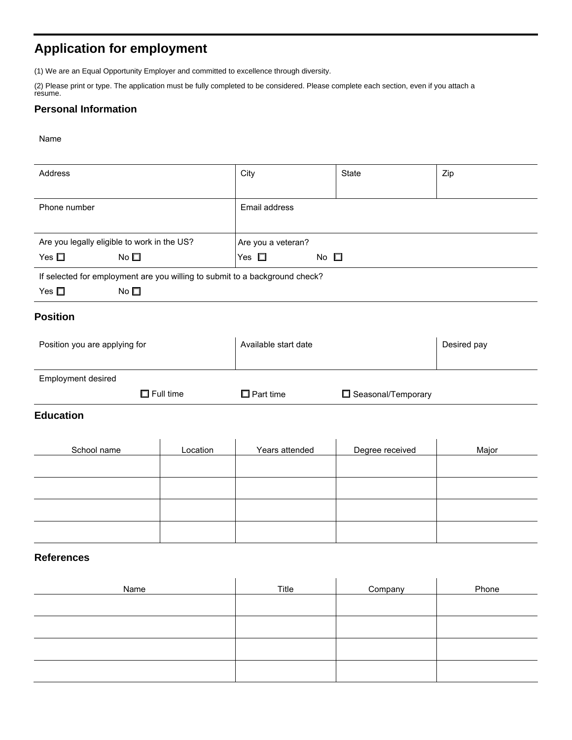# **Application for employment**

(1) We are an Equal Opportunity Employer and committed to excellence through diversity.

(2) Please print or type. The application must be fully completed to be considered. Please complete each section, even if you attach a resume.

## **Personal Information**

#### Name

| Address                                                                     | City                          | State | Zip |
|-----------------------------------------------------------------------------|-------------------------------|-------|-----|
|                                                                             |                               |       |     |
| Phone number                                                                | Email address                 |       |     |
|                                                                             |                               |       |     |
| Are you legally eligible to work in the US?                                 | Are you a veteran?            |       |     |
| Yes $\square$<br>No $\square$                                               | Yes $\square$<br>No $\square$ |       |     |
| If selected for employment are you willing to submit to a background check? |                               |       |     |

| Yes $\square$ | No $\square$ |
|---------------|--------------|
|---------------|--------------|

## **Position**

| Position you are applying for |                  | Available start date |                    | Desired pay |
|-------------------------------|------------------|----------------------|--------------------|-------------|
| Employment desired            |                  |                      |                    |             |
|                               | $\Box$ Full time | $\Box$ Part time     | Seasonal/Temporary |             |

#### **Education**

| School name | Location | Years attended | Degree received | Major |
|-------------|----------|----------------|-----------------|-------|
|             |          |                |                 |       |
|             |          |                |                 |       |
|             |          |                |                 |       |
|             |          |                |                 |       |

## **References**

| Name | Title | Company | Phone |
|------|-------|---------|-------|
|      |       |         |       |
|      |       |         |       |
|      |       |         |       |
|      |       |         |       |